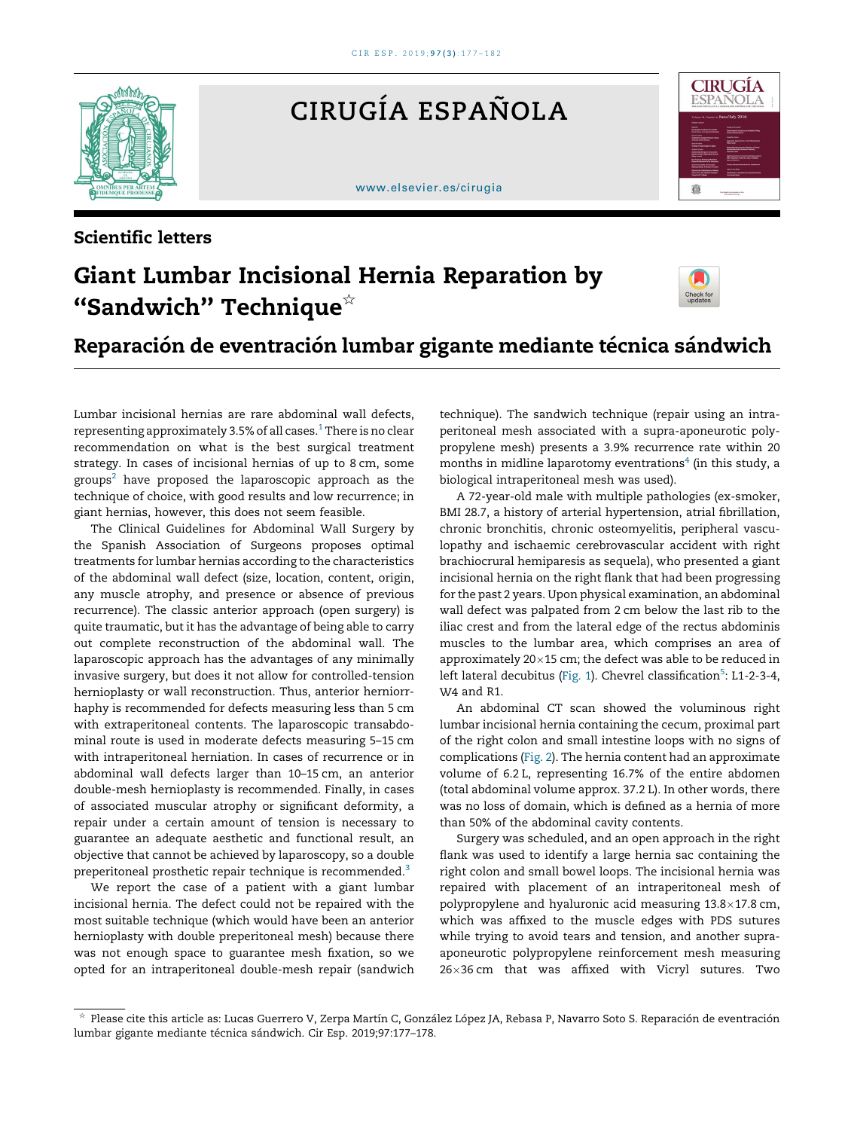

Scientific letters

CIRUGÍA ESPAÑOLA

## [www.elsevier.es/cirugia](http://www.elsevier.es/cirugia)



## Giant Lumbar Incisional Hernia Reparation by "Sandwich" Technique $*$



## Reparación de eventración lumbar gigante mediante técnica sándwich

Lumbar incisional hernias are rare abdominal wall defects, representing approximately 3.5% of all cases.<sup>[1](#page-1-0)</sup> There is no clear recommendation on what is the best surgical treatment strategy. In cases of incisional hernias of up to 8 cm, some  $groups<sup>2</sup>$  $groups<sup>2</sup>$  $groups<sup>2</sup>$  have proposed the laparoscopic approach as the technique of choice, with good results and low recurrence; in giant hernias, however, this does not seem feasible.

The Clinical Guidelines for Abdominal Wall Surgery by the Spanish Association of Surgeons proposes optimal treatments for lumbar hernias according to the characteristics of the abdominal wall defect (size, location, content, origin, any muscle atrophy, and presence or absence of previous recurrence). The classic anterior approach (open surgery) is quite traumatic, but it has the advantage of being able to carry out complete reconstruction of the abdominal wall. The laparoscopic approach has the advantages of any minimally invasive surgery, but does it not allow for controlled-tension hernioplasty or wall reconstruction. Thus, anterior herniorrhaphy is recommended for defects measuring less than 5 cm with extraperitoneal contents. The laparoscopic transabdominal route is used in moderate defects measuring 5–15 cm with intraperitoneal herniation. In cases of recurrence or in abdominal wall defects larger than 10–15 cm, an anterior double-mesh hernioplasty is recommended. Finally, in cases of associated muscular atrophy or significant deformity, a repair under a certain amount of tension is necessary to guarantee an adequate aesthetic and functional result, an objective that cannot be achieved by laparoscopy, so a double preperitoneal prosthetic repair technique is recommended.[3](#page-1-0)

We report the case of a patient with a giant lumbar incisional hernia. The defect could not be repaired with the most suitable technique (which would have been an anterior hernioplasty with double preperitoneal mesh) because there was not enough space to guarantee mesh fixation, so we opted for an intraperitoneal double-mesh repair (sandwich

technique). The sandwich technique (repair using an intraperitoneal mesh associated with a supra-aponeurotic polypropylene mesh) presents a 3.9% recurrence rate within 20 months in midline laparotomy eventrations ${}^4$  ${}^4$  (in this study, a biological intraperitoneal mesh was used).

A 72-year-old male with multiple pathologies (ex-smoker, BMI 28.7, a history of arterial hypertension, atrial fibrillation, chronic bronchitis, chronic osteomyelitis, peripheral vasculopathy and ischaemic cerebrovascular accident with right brachiocrural hemiparesis as sequela), who presented a giant incisional hernia on the right flank that had been progressing for the past 2 years. Upon physical examination, an abdominal wall defect was palpated from 2 cm below the last rib to the iliac crest and from the lateral edge of the rectus abdominis muscles to the lumbar area, which comprises an area of approximately  $20\times15$  cm; the defect was able to be reduced in left lateral decubitus ([Fig.](#page-1-0) 1). Chevrel classification<sup>[5](#page-1-0)</sup>: L1-2-3-4, W<sub>4</sub> and R<sub>1</sub>

An abdominal CT scan showed the voluminous right lumbar incisional hernia containing the cecum, proximal part of the right colon and small intestine loops with no signs of complications [\(Fig.](#page-1-0) 2). The hernia content had an approximate volume of 6.2 L, representing 16.7% of the entire abdomen (total abdominal volume approx. 37.2 L). In other words, there was no loss of domain, which is defined as a hernia of more than 50% of the abdominal cavity contents.

Surgery was scheduled, and an open approach in the right flank was used to identify a large hernia sac containing the right colon and small bowel loops. The incisional hernia was repaired with placement of an intraperitoneal mesh of polypropylene and hyaluronic acid measuring 13.8×17.8 cm, which was affixed to the muscle edges with PDS sutures while trying to avoid tears and tension, and another supraaponeurotic polypropylene reinforcement mesh measuring 26-36 cm that was affixed with Vicryl sutures. Two

<sup>§</sup> Please cite this article as: Lucas Guerrero V, Zerpa Martín C, González López JA, Rebasa P, Navarro Soto S. Reparación de eventración lumbar gigante mediante técnica sándwich. Cir Esp. 2019;97:177-178.